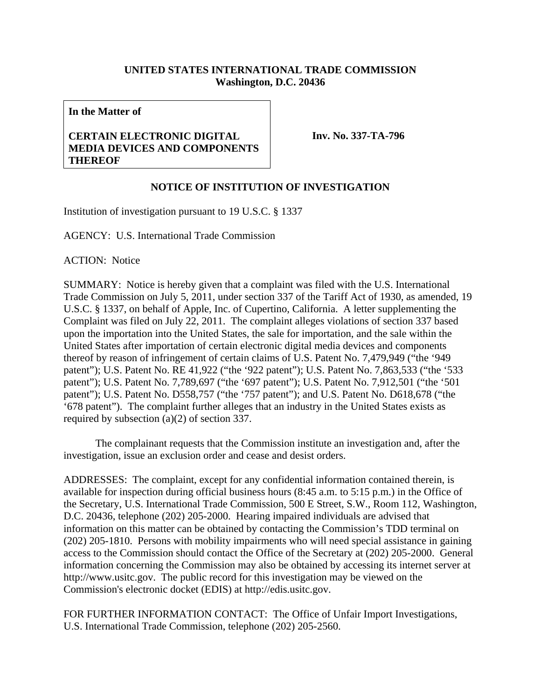## **UNITED STATES INTERNATIONAL TRADE COMMISSION Washington, D.C. 20436**

**In the Matter of** 

## **CERTAIN ELECTRONIC DIGITAL MEDIA DEVICES AND COMPONENTS THEREOF**

**Inv. No. 337-TA-796**

## **NOTICE OF INSTITUTION OF INVESTIGATION**

Institution of investigation pursuant to 19 U.S.C. § 1337

AGENCY: U.S. International Trade Commission

ACTION: Notice

SUMMARY: Notice is hereby given that a complaint was filed with the U.S. International Trade Commission on July 5, 2011, under section 337 of the Tariff Act of 1930, as amended, 19 U.S.C. § 1337, on behalf of Apple, Inc. of Cupertino, California. A letter supplementing the Complaint was filed on July 22, 2011. The complaint alleges violations of section 337 based upon the importation into the United States, the sale for importation, and the sale within the United States after importation of certain electronic digital media devices and components thereof by reason of infringement of certain claims of U.S. Patent No. 7,479,949 ("the '949 patent"); U.S. Patent No. RE 41,922 ("the '922 patent"); U.S. Patent No. 7,863,533 ("the '533 patent"); U.S. Patent No. 7,789,697 ("the '697 patent"); U.S. Patent No. 7,912,501 ("the '501 patent"); U.S. Patent No. D558,757 ("the '757 patent"); and U.S. Patent No. D618,678 ("the '678 patent"). The complaint further alleges that an industry in the United States exists as required by subsection (a)(2) of section 337.

 The complainant requests that the Commission institute an investigation and, after the investigation, issue an exclusion order and cease and desist orders.

ADDRESSES: The complaint, except for any confidential information contained therein, is available for inspection during official business hours (8:45 a.m. to 5:15 p.m.) in the Office of the Secretary, U.S. International Trade Commission, 500 E Street, S.W., Room 112, Washington, D.C. 20436, telephone (202) 205-2000. Hearing impaired individuals are advised that information on this matter can be obtained by contacting the Commission's TDD terminal on (202) 205-1810. Persons with mobility impairments who will need special assistance in gaining access to the Commission should contact the Office of the Secretary at (202) 205-2000. General information concerning the Commission may also be obtained by accessing its internet server at http://www.usitc.gov. The public record for this investigation may be viewed on the Commission's electronic docket (EDIS) at http://edis.usitc.gov.

FOR FURTHER INFORMATION CONTACT: The Office of Unfair Import Investigations, U.S. International Trade Commission, telephone (202) 205-2560.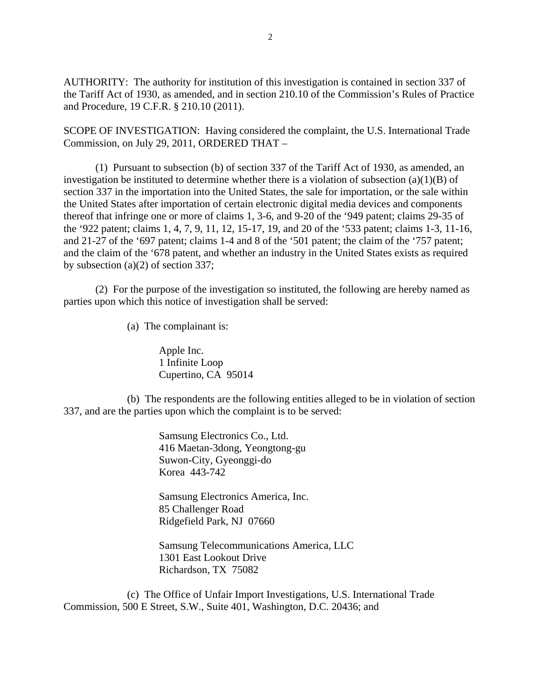AUTHORITY: The authority for institution of this investigation is contained in section 337 of the Tariff Act of 1930, as amended, and in section 210.10 of the Commission's Rules of Practice and Procedure, 19 C.F.R. § 210.10 (2011).

SCOPE OF INVESTIGATION: Having considered the complaint, the U.S. International Trade Commission, on July 29, 2011, ORDERED THAT –

 (1) Pursuant to subsection (b) of section 337 of the Tariff Act of 1930, as amended, an investigation be instituted to determine whether there is a violation of subsection  $(a)(1)(B)$  of section 337 in the importation into the United States, the sale for importation, or the sale within the United States after importation of certain electronic digital media devices and components thereof that infringe one or more of claims 1, 3-6, and 9-20 of the '949 patent; claims 29-35 of the '922 patent; claims 1, 4, 7, 9, 11, 12, 15-17, 19, and 20 of the '533 patent; claims 1-3, 11-16, and 21-27 of the '697 patent; claims 1-4 and 8 of the '501 patent; the claim of the '757 patent; and the claim of the '678 patent, and whether an industry in the United States exists as required by subsection (a)(2) of section 337;

 (2) For the purpose of the investigation so instituted, the following are hereby named as parties upon which this notice of investigation shall be served:

(a) The complainant is:

 Apple Inc. 1 Infinite Loop Cupertino, CA 95014

 (b) The respondents are the following entities alleged to be in violation of section 337, and are the parties upon which the complaint is to be served:

> Samsung Electronics Co., Ltd. 416 Maetan-3dong, Yeongtong-gu Suwon-City, Gyeonggi-do Korea 443-742

> Samsung Electronics America, Inc. 85 Challenger Road Ridgefield Park, NJ 07660

 Samsung Telecommunications America, LLC 1301 East Lookout Drive Richardson, TX 75082

 (c) The Office of Unfair Import Investigations, U.S. International Trade Commission, 500 E Street, S.W., Suite 401, Washington, D.C. 20436; and